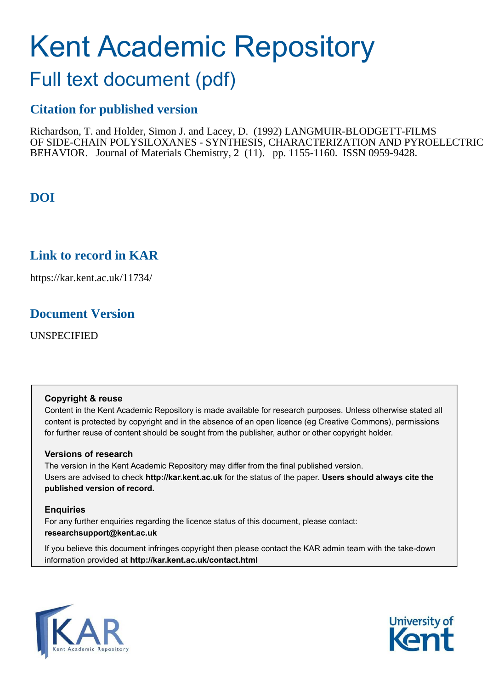# Kent Academic Repository

## Full text document (pdf)

## **Citation for published version**

Richardson, T. and Holder, Simon J. and Lacey, D. (1992) LANGMUIR-BLODGETT-FILMS OF SIDE-CHAIN POLYSILOXANES - SYNTHESIS, CHARACTERIZATION AND PYROELECTRIC BEHAVIOR. Journal of Materials Chemistry, 2 (11). pp. 1155-1160. ISSN 0959-9428.

## **DOI**

## **Link to record in KAR**

https://kar.kent.ac.uk/11734/

## **Document Version**

UNSPECIFIED

## **Copyright & reuse**

Content in the Kent Academic Repository is made available for research purposes. Unless otherwise stated all content is protected by copyright and in the absence of an open licence (eg Creative Commons), permissions for further reuse of content should be sought from the publisher, author or other copyright holder.

## **Versions of research**

The version in the Kent Academic Repository may differ from the final published version. Users are advised to check **http://kar.kent.ac.uk** for the status of the paper. **Users should always cite the published version of record.**

## **Enquiries**

For any further enquiries regarding the licence status of this document, please contact: **researchsupport@kent.ac.uk**

If you believe this document infringes copyright then please contact the KAR admin team with the take-down information provided at **http://kar.kent.ac.uk/contact.html**



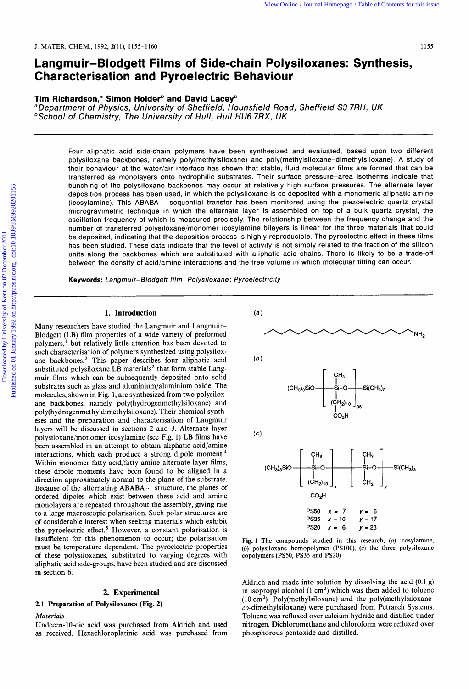## **Langmuir-Blodgett Films of Side-chain Polysiloxanes: Synthesis, Characterisation and Pyroelectric Behaviour**

#### Tim Richardson,<sup>a</sup> Simon Holder<sup>b</sup> and David Lacey<sup>b</sup>

**<sup>a</sup>**Department of Physics, University of Sheffield, Hounsfield Road, Sheffield S3 7RH, UK **bSchool of Chemistry, The University of Hull, Hull HU6 7RX, UK** 

Four aliphatic acid side-chain polymers have been synthesized and evaluated, based upon two different polysiloxane backbones, namely poly(methylsi1oxane) and poly(methylsi1oxane-dimethylsiloxane). **A** study of their behaviour at the water/air interface has shown that stable, fluid molecular films are formed that can be transferred as monolayers onto hydrophilic substrates. Their surface pressure-area isotherms indicate that bunching of the polysiloxane backbones may occur at relatively high surface pressures. The alternate layer deposition process has been used, in which the polysiloxane is co-deposited with **a** monomeric aliphatic amine (icosylamine). This **ABABA.** -. sequential transfer has been monitored using the piezoelectric quartz crystal microgravimetric technique in which the alternate layer is assembled on top of a bulk quartz crystal, the oscillation frequency of which is measured precisely. The relationship between the frequency change and the number of transferred polysiloxane/monomer icosylamine bilayers is linear for the three materials that could be deposited, indicating that the deposition process is highly reproducible. The pyroelectric effect in these films has been studied. These data indicate that the level of activity is not simply related to the fraction of the silicon units along the backbones which are substituted with aliphatic acid chains. There is likely to be a trade-off between the density of acid/amine interactions and the free volume in which molecular tilting can occur.

**Keywords:** Langmuir-Blodgett film ; Polysiloxane ; Pyroelectricity

#### **1. Introduction**

Many researchers have studied the Langmuir and Langmuir-Blodgett (LB) film properties of a wide variety of preformed polymers,' but relatively little attention has been devoted to such characterisation of polymers synthesized using polysiloxane backbones.2 This paper describes four aliphatic acid substituted polysiloxane LB materials<sup>3</sup> that form stable Langmuir films which can be subsequently deposited onto solid substrates such as glass and aluminium/aluminium oxide. The molecules, shown in Fig. 1, are synthesized from two polysiloxane backbones, namely poly(hydrogenmethylsiloxane) and **poly(hydrogenmethyldimethylsi1oxane).** Their chemical syntheses and the preparation and characterisation of Langmuir layers will be discussed in sections **2** and **3.** Alternate layer polysiloxane/monomer icosylamine (see Fig. 1) LB films have been assembled in an attempt to obtain aliphatic acid/amine interactions, which each produce a strong dipole moment.<sup>4</sup> Within monomer fatty acid/fatty amine alternate layer films, these dipole moments have been found to be aligned in a direction approximately normal to the plane of the substrate. Because of the alternating  $ABABA\cdots$  structure, the planes of ordered dipoles which exist between these acid and amine monolayers are repeated throughout the assembly, giving rise to a large macroscopic polarisation. Such polar structures are of considerable interest when seeking materials which exhibit the pyroelectric effect. $5$  However, a constant polarisation is insufficient for this phenomenon to occur; the polarisation must be temperature dependent. The pyroelectric properties of these polysiloxanes, substituted to varying degrees with aliphatic acid side-groups, have been studied and are discussed in section **6.** 

#### **2. Experimental**

#### **2.1 Preparation of Polysiloxanes (Fig. 2)**

#### *Materials*

Undecen-10-oic acid was purchased from Aldrich and used as received. Hexachloroplatinic acid was purchased from



Fig. 1 The compounds studied in **this** research, **(a)** icosylamine, (b) polysiloxane homopolymer (PSlOO), **(c)** the three polysiloxane copolymers (PS50, PS35 and PS20)

Aldrich and made into solution by dissolving the acid (0.1 **g)**  in isopropyl alcohol  $(1 \text{ cm}^3)$  which was then added to toluene  $(10 \text{ cm}^3)$ . Poly(methylsiloxane) and the poly(methylsiloxaneco-dimethylsiloxane) were purchased from Petrarch Systems. Toluene was refluxed over calcium hydride and distilled under nitrogen. Dichloromethane and chloroform were refluxed over phosphorous pentoxide and distilled.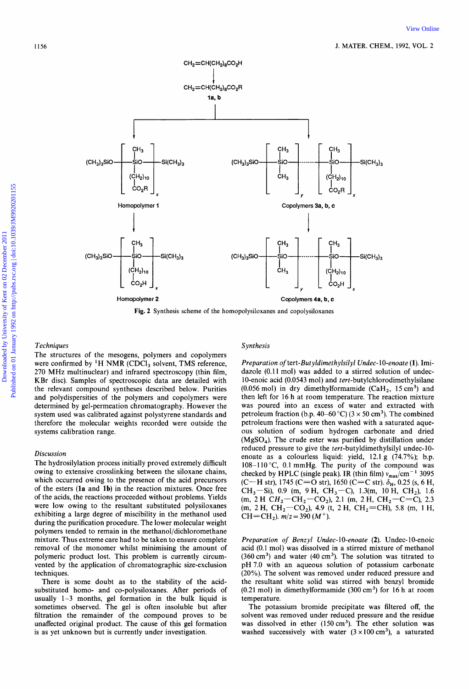

**Fig. 2 Synthesis scheme** of **the homopolysiloxanes and copolysiloxanes** 

#### **Techniques**

The structures of the mesogens, polymers and copolymers were confirmed by  ${}^{1}H$  NMR (CDCl<sub>3</sub> solvent, TMS reference, 270 MHz multinuclear) and infrared spectroscopy (thin film, KBr disc). Samples of spectroscopic data are detailed with the relevant compound syntheses described below. Purities and polydispersities of the polymers and copolymers were determined by gel-permeation chromatography. However the system used was calibrated against polystyrene standards and therefore the molecular weights recorded were outside the systems calibration range.

#### Discussion

The hydrosilylation process initially proved extremely difficult owing to extensive crosslinking between the siloxane chains, which occurred owing to the presence of the acid precursors of the esters **(la** and **lb)** in the reaction mixtures. Once free of the acids, the reactions proceeded without problems. Yields were low owing to the resultant substituted polysiloxanes exhibiting a large degree of miscibility in the methanol used during the purification procedure. The lower molecular weight polymers tended to remain in the methanol/dichloromethane mixture. Thus extreme care had to be taken to ensure complete removal of the monomer whilst minimising the amount of polymeric product lost. This problem is currently circumvented by the application of chromatographic size-exclusion techniques.

There is some doubt as to the stability of the acidsubstituted homo- and co-polysiloxanes. After periods of usually 1-3 months, gel formation in the bulk liquid is sometimes observed. The gel is often insoluble but after filtration the remainder of the compound proves to be unaffected original product. The cause of this gel formation is as yet unknown but is currently under investigation.

#### Synthesis

Preparation of tert-Butyldimethylsilyl Undec-10-enoate (1). Imidazole (0.11 mol) was added to a stirred solution of undec-10-enoic acid (0.0543 mol) and tert-butylchlorodimethylsilane (0.056 mol) in dry dimethylformamide  $(CaH<sub>2</sub>, 15 cm<sup>3</sup>)$  and then left for 16 h at room temperature. The reaction mixture was poured into an excess of water and extracted with petroleum fraction (b.p. 40–60 °C) ( $3 \times 50$  cm<sup>3</sup>). The combined petroleum fractions were then washed with a saturated aqueous solution of sodium hydrogen carbonate and dried  $(MgSO<sub>4</sub>)$ . The crude ester was purified by distillation under reduced pressure to give the tert-butyldimethylsilyl undec-10enoate as a colourless liquid: yield, 12.1 g (74.7%); b.p. 108-110 °C, 0.1 mmHg. The purity of the compound was checked by HPLC (single peak). IR (thin film)  $v_{\text{max}}/\text{cm}^{-1}$  3095 (C-H str), 1745 (C=O str), 1650 (C=C str). **SH,** 0.25 (s, *6* H, CH<sub>3</sub>-Si), 0.9 (m, 9 H, CH<sub>3</sub>-C), 1.3(m, 10 H, CH<sub>2</sub>), 1.6 (m, 2 H  $CH_2$ -CH<sub>2</sub>-CO<sub>2</sub>), 2.1 (m, 2 H, CH<sub>2</sub>-C=C), 2.3  $(m, 2H, CH_2-CO_2)$ , 4.9 (t, 2H, CH<sub>2</sub>=CH), 5.8 (m, 1H, CH=CH<sub>2</sub>).  $m/z = 390 (M^+)$ .

Preparation of Benzyl Undec-10-enoate (2). Undec-10-enoic acid (0.1 mol) was dissolved in a stirred mixture of methanol  $(360 \text{ cm}^3)$  and water  $(40 \text{ cm}^3)$ . The solution was titrated to pH 7.0 with an aqueous solution of potassium carbonate (20%). The solvent was removed under reduced pressure and the resultant white solid was stirred with benzyl bromide  $(0.21 \text{ mol})$  in dimethylformamide  $(300 \text{ cm}^3)$  for 16 h at room temperature.

The potassium bromide precipitate was filtered off, the solvent was removed under reduced pressure and the residue was dissolved in ether  $(150 \text{ cm}^3)$ . The ether solution was washed successively with water  $(3 \times 100 \text{ cm}^3)$ , a saturated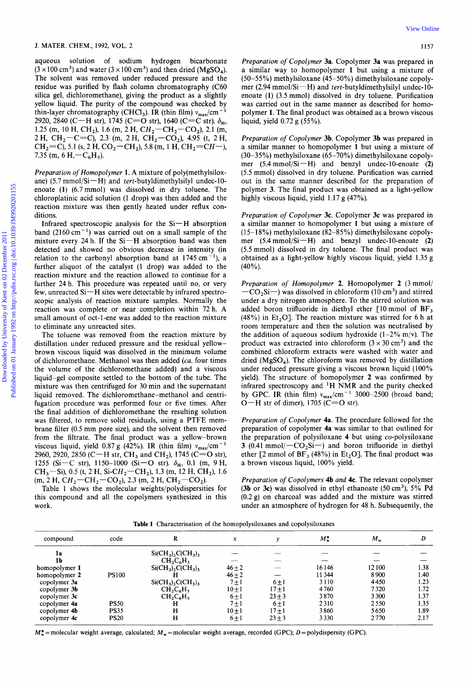aqueous solution of sodium hydrogen bicarbonate  $(3 \times 100 \text{ cm}^3)$  and water  $(3 \times 100 \text{ cm}^3)$  and then dried (MgSO<sub>4</sub>). The solvent was removed under reduced pressure and the residue was purified by flash column chromatography (C60 silica gel, dichloromethane), giving the product as a slightly yellow liquid. The purity of the compound was checked by thin-layer chromatography (CHCl<sub>3</sub>). IR (thin film)  $v_{\text{max}}/\text{cm}^{-1}$ 2920, 2840 (C-H str), 1745 (C=O str), 1640 (C=C str).  $\delta_{\rm H}$ , 1.25 (m, 10 H, CH<sub>2</sub>), 1.6 (m, 2 H, CH<sub>2</sub>-CH<sub>2</sub>-CO<sub>2</sub>), 2.1 (m, 2 H, CH<sub>2</sub>-C=C), 2.3 (m, 2 H, CH<sub>2</sub>-CO<sub>2</sub>), 4.95 (t, 2 H,  $CH_2=C$ ), 5.1 (s, 2 H,  $CO_2=CH_2$ ), 5.8 (m, 1 H,  $CH_2=CH-$ ), 7.35 (m, 6 H,  $-C_6H_5$ ).

Preparation of Homopolymer 1. A mixture of poly(methylsiloxane) (5.7 mmol/Si-H) and tert-butyldimethylsilyl undec-10enoate **(1)** (6.7mmol) was dissolved in dry toluene. The chloroplatinic acid solution (1 drop) was then added and the reaction mixture was then gently heated under reflux conditions.

Infrared spectroscopic analysis for the Si-H absorption band (2160 cm<sup>-1</sup>) was carried out on a small sample of the mixture every 24 h. If the  $Si-H$  absorption band was then detected and showed no obvious decrease in intensity (in relation to the carbonyl absorption band at  $1745 \text{ cm}^{-1}$ ), a further aliquot of the catalyst (1 drop) was added to the reaction mixture and the reaction allowed to continue for a further 24 h. This procedure was repeated until no, or very few, unreacted Si-H sites were detectable by infrared spectroscopic analysis of reaction mixture samples. Normally the reaction was complete or near completion within 72 h. A small amount of oct-1-ene was added to the reaction mixture to eliminate any unreacted sites.

The toluene was removed from the reaction mixture by distillation under reduced pressure and the residual yellowbrown viscous liquid was dissolved in the minimum volume of dichloromethane. Methanol was then added (ca. four times the volume of the dichloromethane added) and a viscous liquid-gel composite settled to the bottom of the tube. The mixture was then centrifuged for 30 min and the supernatant liquid removed. The dichloromethane-methanol and centrifugation procedure was performed four or five times. After the final addition of dichloromethane the resulting solution was filtered, to remove solid residuals, using a PTFE membrane filter (0.5 mm pore size), and the solvent then removed from the filtrate. The final product was a yellow-brown viscous liquid, yield 0.87 g (42%). IR (thin film)  $v_{\text{max}}/\text{cm}^{-1}$ 2960, 2920, 2850 (C-H str, CH<sub>3</sub> and CH<sub>2</sub>), 1745 (C=O str), 1255 (Si-C str), 1150-1000 (Si-O str).  $\delta_{\rm H}$ , 0.1 (m, 9 H, CH<sub>3</sub>-Si), 0.5 (t, 2 H, Si-CH<sub>2</sub>-CH<sub>2</sub>), 1.3 (m, 12 H, CH<sub>2</sub>), 1.6  $(m, 2 H, CH_2-CH_2-CO_2)$ , 2.3  $(m, 2 H, CH_2-CO_2)$ .

Table 1 shows the molecular weights/polydispersities for this compound and all the copolymers synthesized in this work.

Preparation of Copolymer **3a.** Copolymer **3a** was prepared in a similar way to homopolymer **1** but using a mixture of **(50-55%)** methylsiloxane (45-50%) dimethylsiloxane copolymer (2.94 mmol/Si $-H$ ) and tert-butyldimethylsilyl undec-10enoate **(1)** (3.5 mmol) dissolved in dry toluene. Purification was carried out in the same manner as described for homopolymer **1.** The final product was obtained as a brown viscous liquid, yield 0.72 g (55%).

Preparation of Copolymer **3b.** Copolymer **3b** was prepared in a similar manner to homopolymer **1** but using a mixture of (30-35%) methylsiloxane (65-70%) dimethylsiloxane copolymer (5.4 mmol/Si-H) and benzyl undec-10-enoate (2) *(5.5* mmol) dissolved in dry toluene. Purification was carried out in the same manner described for the preparation of polymer **3.** The final product was obtained as a light-yellow highly viscous liquid, yield 1.17 g (47%).

Preparation of Copolymer **3c.** Copolymer **3c** was prepared in a similar manner to homopolymer **1** but using a mixture of  $(15-18%)$  methylsiloxane  $(82-85%)$  dimethylsiloxane copolymer (5.4 mmol/Si-H) and benzyl undec-10-enoate **(2)**  *(5.5* mmol) dissolved in dry toluene. The final product was obtained as a light-yellow highly viscous liquid, yield 1.35 g  $(40%$ ).

Preparation of Homopolymer **2.** Homopolymer **2** (3 mmol/  $-CO_2$ Si-) was dissolved in chloroform (10 cm<sup>3</sup>) and stirred under a dry nitrogen atmosphere. To the stirred solution was added boron trifluoride in diethyl ether [lo mmol of **BF,**  (48%) in Et<sub>2</sub>O]. The reaction mixture was stirred for 6 h at room temperature and then the solution was neutralised by the addition of aqueous sodium hydroxide  $(1-2\% \text{ m/v})$ . The product was extracted into chloroform  $(3 \times 30 \text{ cm}^3)$  and the combined chloroform extracts were washed with water and dried ( $MgSO<sub>4</sub>$ ). The chloroform was removed by distillation under reduced pressure giving a viscous brown liquid  $(100\%$ yield). The structure of homopolymer **2** was confirmed by infrared spectroscopy and 'H NMR and the purity checked by GPC. IR (thin film)  $v_{\text{max}}/cm^{-1}$  3000-2500 (broad band;  $O-H$  str of dimer), 1705 (C=O str).

Preparation of Copolymer **4a.** The procedure followed for the preparation of copolymer **4a** was similar to that outlined for the preparation of polysiloxane **4** but using co-polysiloxane **3** (0.41 mmol/ $-CO_2Si$ ) and boron trifluoride in diethyl ether  $[2 \text{ mmol of BF}_3 (48\%)$  in Et<sub>2</sub>O]. The final product was a brown viscous liquid, 100% yield.

Preparation of Copolymers **4b** and **4c.** The relevant copolymer **(3b** or **3c)** was dissolved in ethyl ethanoate (50cm3), **5%** Pd **(0.2g)** on charcoal was added and the mixture was stirred under an atmosphere of hydrogen for 48 h. Subsequently, the

**Table 1** Characterisation **of** the homopolysiloxanes and copolysiloxanes

| code         | R                        | x                                                                              |           | м.        | $M_{\rm w}$ | D    |
|--------------|--------------------------|--------------------------------------------------------------------------------|-----------|-----------|-------------|------|
|              | $Si(CH_3)$ , $C(CH_3)$ , |                                                                                |           |           |             |      |
|              | $CH_2C_6H_5$             |                                                                                |           |           |             |      |
|              |                          | $46 + 2$                                                                       |           | 16146     | 12 100      | 1.38 |
| <b>PS100</b> |                          | $46\pm2$                                                                       |           | 11344     | 8900        | 1.40 |
|              |                          | $7 \pm 1$                                                                      | $6 \pm 1$ | 3110      | 4450        | 1.23 |
|              |                          | $10+1$                                                                         | $17 + 1$  | 4760      | 7320        | 1.72 |
|              |                          | $6 \pm 1$                                                                      | $23 + 3$  | 3870      | 3300        | 1.37 |
| <b>PS50</b>  | н                        |                                                                                |           | 2310      | 2550        | 1.35 |
| <b>PS35</b>  | H                        | $10+1$                                                                         | $17 + 1$  | 3860      | 5650        | 1.89 |
| <b>PS20</b>  | н                        | $6 \pm 1$                                                                      | $23 + 3$  | 3330      | 2770        | 2.17 |
|              |                          | $Si(CH_3)_2C(CH_3)_3$<br>$Si(CH_3)_2C(CH_3)_3$<br>$CH_2C_6H_5$<br>$CH_2C_6H_5$ | $7 \pm 1$ | $6 \pm 1$ |             |      |

 $M_{\infty}^*$  = molecular weight average, calculated;  $M_{\infty}$  = molecular weight average, recorded (GPC); D = polydispersity (GPC).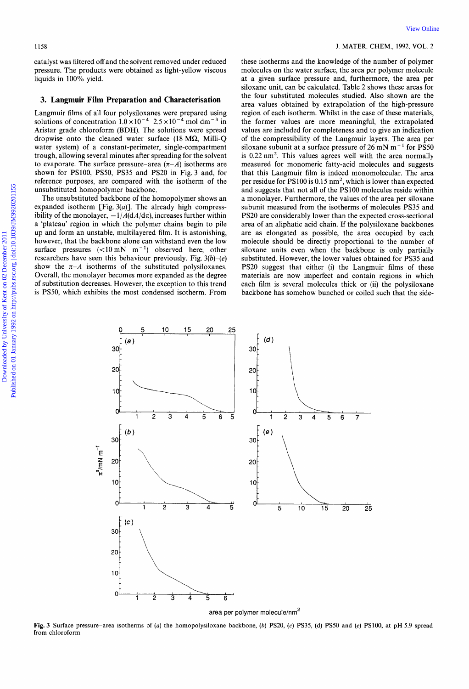catalyst was filtered off and the solvent removed under reduced pressure. The products were obtained as light-yellow viscous liquids in 100% yield.

#### **3. Langmuir Film Preparation and Characterisation**

Langmuir films of all four polysiloxanes were prepared using solutions of concentration  $1.0 \times 10^{-4}$ -2.5  $\times 10^{-4}$  mol dm<sup>-3</sup> in Aristar grade chloroform **(BDH).** The solutions were spread dropwise onto the cleaned water surface (18 **MQ,** Milli-Q water system) of a constant-perimeter, single-compartment trough, allowing several minutes after spreading for the solvent to evaporate. The surface pressure-area  $(\pi - A)$  isotherms are shown for PS100, PS50, PS35 and PS20 in Fig. 3 and, for reference purposes, are compared with the isotherm of the unsubstituted homopolymer backbone.

The unsubstituted backbone of the homopolymer shows an expanded isotherm [Fig.  $3(a)$ ]. The already high compressibility of the monolayer,  $-1/A(dA/d\pi)$ , increases further within a 'plateau' region in which the polymer chains begin to pile up and form an unstable, multilayered film. It is astonishing, however, that the backbone alone can withstand even the low surface pressures  $(<10 \text{ mN} \text{ m}^{-1})$  observed here; other researchers have seen this behaviour previously. Fig. *3(b)-(e)*  show the  $\pi$ -A isotherms of the substituted polysiloxanes. Overall, the monolayer becomes more expanded as the degree of substitution decreases. However, the exception to this trend is PS50, which exhibits the most condensed isotherm. From

#### **1158 J. MATER. CHEM.,** 1992, **VOL.** 2

these isotherms and the knowledge of the number of polymer molecules on the water surface, the area per polymer molecule at a given surface pressure and, furthermore, the area per siloxane unit, can be calculated. Table 2 shows these areas for the four substituted molecules studied. Also shown are the area values obtained by extrapolation of the high-pressure region of each isotherm. Whilst in the case of these materials, the former values are more meaningful, the extrapolated values are included for completeness and to give an indication of the compressibility of the Langmuir layers. The area per siloxane subunit at a surface pressure of 26 mN  $m<sup>-1</sup>$  for PS50 is  $0.22 \text{ nm}^2$ . This values agrees well with the area normally measured for monomeric fatty-acid molecules and suggests that this Langmuir film is indeed monomolecular. The area per residue for PS100 is  $0.15 \text{ nm}^2$ , which is lower than expected and suggests that not all of the PSlOO molecules reside within a monolayer. Furthermore, the values of the area per siloxane subunit measured from the isotherms of molecules PS35 and PS20 are considerably lower than the expected cross-sectional area of an aliphatic acid chain. If the polysiloxane backbones are as elongated as possible, the area occupied by each molecule should be directly proportional to the number of siloxane units even when the backbone is only partially substituted. However, the lower values obtained for PS35 and PS20 suggest that either (i) the Langmuir films of these materials are now imperfect and contain regions in which each film is several molecules thick or (ii) the polysiloxane backbone has somehow bunched or coiled such that the side-



area per polymer molecule/nm<sup>2</sup>

**Fig. 3** Surface pressure-area isotherms of **(a)** the homopolysiloxane backbone, *(b)* **PS20,** (c) **PS35, (d) PS50** and *(e)* **PS100, at** pH 5.9 spread from chloroform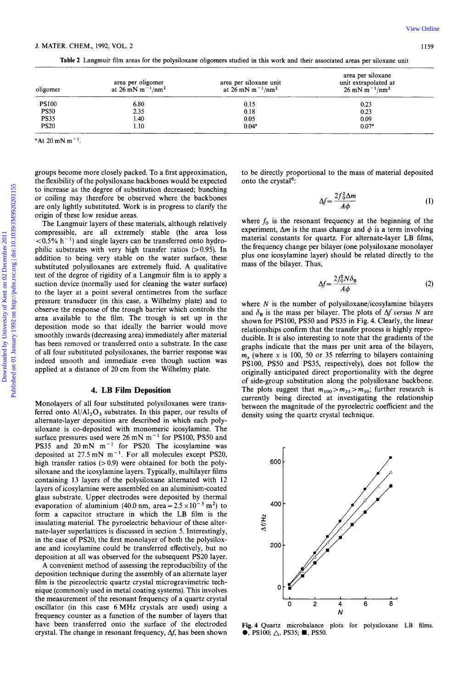**Table 2 Langmuir film areas for the polysiloxane oligomers studied in this work and their associated areas per siloxane unit** 

| oligomer     | area per oligomer<br>at 26 mN m <sup>-1</sup> /nm <sup>2</sup> | area per siloxane unit<br>at 26 mN m <sup>-1</sup> /nm <sup>2</sup> | area per siloxane<br>unit extrapolated at<br>$26 \text{ mN m}^{-1}/\text{nm}^2$ |
|--------------|----------------------------------------------------------------|---------------------------------------------------------------------|---------------------------------------------------------------------------------|
| <b>PS100</b> | 6.80                                                           | 0.15                                                                | 0.23                                                                            |
| <b>PS50</b>  | 2.35                                                           | 0.18                                                                | 0.23                                                                            |
| <b>PS35</b>  | .40                                                            | 0.05                                                                | 0.09                                                                            |
| <b>PS20</b>  | 1.10                                                           | $0.04^a$                                                            | $0.07^{a}$                                                                      |

**"At 20 mN m-'** 

groups become more closely packed. To a first approximation, the flexibility of the polysiloxane backbones would be expected to increase as the degree of substitution decreased; bunching or coiling may therefore be observed where the backbones are only lightly substituted. Work is in progress to clarify the origin of these low residue areas.

The Langmuir layers of these materials, although relatively compressible, are all extremely stable (the area loss  $< 0.5\%$  h<sup>-1</sup>) and single layers can be transferred onto hydrophilic substrates with very high transfer ratios  $(>0.95)$ . In addition to being very stable on the water surface, these substituted polysiloxanes are extremely fluid. **A** qualitative test of the degree of rigidity of a Langmuir film is to apply a suction device (normally used for cleaning the water surface) to the layer at a point several centimetres from the surface pressure transducer (in this case, a Wilhelmy plate) and to observe the response of the trough barrier which controls the area available to the film. The trough is set up in the deposition mode so that ideally the barrier would move smoothly inwards (decreasing area) immediately after material has been removed or transferred onto a substrate. In the case of all four substituted polysiloxanes, the barrier response was indeed smooth and immediate even though suction was applied at a distance of **20** cm from the Wilhelmy plate.

#### **4. LB Film Deposition**

Monolayers of all four substituted polysiloxanes were transferred onto  $A$  $\vert A$  $\vert_2$  $O_3$  substrates. In this paper, our results of alternate-layer deposition are described in which each polysiloxane is co-deposited with monomeric icosylamine. The surface pressures used were 26 mN m<sup>-1</sup> for PS100, PS50 and **PS35** and 20mN m-l for **PS20.** The icosylamine was deposited at 27.5 mN m-'. For all molecules except **PS20,**  high transfer ratios  $(>0.9)$  were obtained for both the polysiloxane and the icosylamine layers. Typically, multilayer films containing **13** layers of the polysiloxane alternated with 12 layers of icosylamine were assembled on an aluminium-coated glass substrate. Upper electrodes were deposited by thermal evaporation of aluminium (40.0 nm, area =  $2.5 \times 10^{-5}$  m<sup>2</sup>) to form a capacitor structure in which the **LB** film is the insulating material. The pyroelectric behaviour of these alternate-layer superlattices is discussed in section *5.* Interestingly, in the case of **PS20,** the first monolayer of both the polysiloxane and icosylamine could be transferred effectively, but no deposition at all was observed for the subsequent **PS20** layer.

**A** convenient method of assessing the reproducibility of the deposition technique during the assembly of an alternate layer film is the piezoelectric quartz crystal microgravimetric technique (commonly used in metal coating systems). This involves the measurement of the resonant frequency of a quartz crystal oscillator (in this case *6* MHz crystals are used) using a frequency counter as a function of the number of layers that have been transferred onto the surface of the electroded crystal. The change in resonant frequency,  $\Delta f$ , has been shown

to be directly proportional to the mass of material deposited onto the crystal<sup>6</sup>:

and to the mass of material deposited

\n
$$
\Delta f = \frac{2f_0^2 \Delta m}{A\phi}
$$
\n(1)

where  $f_0$  is the resonant frequency at the beginning of the experiment,  $\Delta m$  is the mass change and  $\phi$  is a term involving material constants for quartz. For alternate-layer **LB** films, the frequency change per bilayer (one polysiloxane monolayer plus one icosylamine layer) should be related directly to the mass of the bilayer. Thus,

$$
\Delta f = \frac{2f_0^2 N \delta_B}{A \phi} \tag{2}
$$

where *N* is the number of polysiloxane/icosylamine bilayers and  $\delta_{\text{B}}$  is the mass per bilayer. The plots of  $\Delta f$  versus N are shown for **PS100, PS50** and **PS35** in Fig. **4.** Clearly, the linear relationships confirm that the transfer process is highly reproducible. It is also interesting to note that the gradients of the graphs indicate that the mass per unit area of the bilayers,  $m<sub>x</sub>$  (where x is 100, 50 or 35 referring to bilayers containing **PSlOO, PS50** and **PS35,** respectively), does not follow the originally anticipated direct proportionality with the degree of side-group substitution along the polysiloxane backbone. The plots suggest that  $m_{100} > m_{35} > m_{50}$ ; further research is currently being directed at investigating the relationship between the magnitude of the pyroelectric coefficient and the density using the quartz crystal technique.



**Fig. 4 Quartz microbalance plots for polysiloxane LB films. 0, PSIOO;** A, **PS35; M, PSSO.**